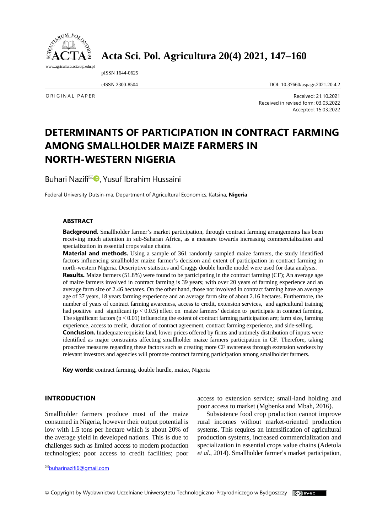

# **Acta Sci. Pol. Agricultura 20(4) 2021, 147–160**

pISSN 1644-0625

eISSN 2300-8504 DOI: 10.37660/aspagr.2021.20.4.2

ORIGINAL PAPER Received: 21.10.2021 Received in revised form: 03.03.2022 Accepted: 15.03.2022

# **DETERMINANTS OF PARTICIPATION IN CONTRACT FARMING AMONG SMALLHOLDER MAIZE FARMERS IN NORTH-WESTERN NIGERIA**

Buhari Nazifi<sup>⊠</sup> D. Yusuf Ibrahim Hussaini

Federal University Dutsin-ma, Department of Agricultural Economics, Katsina, **Nigeria**

#### **ABSTRACT**

**Background.** Smallholder farmer's market participation, through contract farming arrangements has been receiving much attention in sub-Saharan Africa, as a measure towards increasing commercialization and specialization in essential crops value chains.

**Material and methods.** Using a sample of 361 randomly sampled maize farmers, the study identified factors influencing smallholder maize farmer's decision and extent of participation in contract farming in north-western Nigeria. Descriptive statistics and Craggs double hurdle model were used for data analysis. **Results.** Maize farmers (51.8%) were found to be participating in the contract farming (CF); An average age of maize farmers involved in contract farming is 39 years; with over 20 years of farming experience and an average farm size of 2.46 hectares. On the other hand, those not involved in contract farming have an average age of 37 years, 18 years farming experience and an average farm size of about 2.16 hectares. Furthermore, the number of years of contract farming awareness, access to credit, extension services, and agricultural training had positive and significant  $(p < 0.0.5)$  effect on maize farmers' decision to participate in contract farming. The significant factors  $(p < 0.01)$  influencing the extent of contract farming participation are; farm size, farming experience, access to credit, duration of contract agreement, contract farming experience, and side-selling. **Conclusion.** Inadequate requisite land, lower prices offered by firms and untimely distribution of inputs were identified as major constraints affecting smallholder maize farmers participation in CF. Therefore, taking proactive measures regarding these factors such as creating more CF awareness through extension workers by relevant investors and agencies will promote contract farming participation among smallholder farmers.

**Key words:** contract farming, double hurdle, maize, Nigeria

### **INTRODUCTION**

Smallholder farmers produce most of the maize consumed in Nigeria, however their output potential is low with 1.5 tons per hectare which is about 20% of the average yield in developed nations. This is due to challenges such as limited access to modern production technologies; poor access to credit facilities; poor

[buharinazifi6@gmail.com](mailto:buharinazifi6@gmail.com)

access to extension service; small-land holding and poor access to market (Mgbenka and Mbah, 2016).

Subsistence food crop production cannot improve rural incomes without market-oriented production systems. This requires an intensification of agricultural production systems, increased commercialization and specialization in essential crops value chains (Adetola *et al.*, 2014). Smallholder farmer's market participation,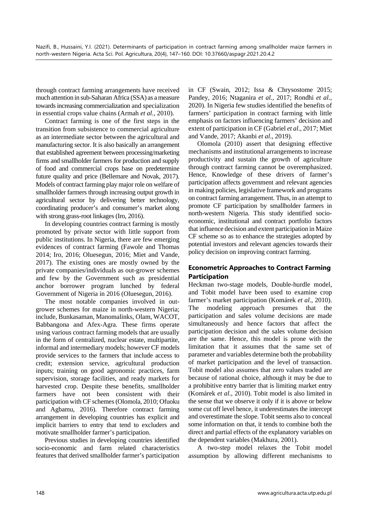through contract farming arrangements have received much attention in sub-Saharan Africa (SSA) as a measure towards increasing commercialization and specialization in essential crops value chains (Armah *et al.*, 2010).

Contract farming is one of the first steps in the transition from subsistence to commercial agriculture as an intermediate sector between the agricultural and manufacturing sector. It is also basically an arrangement that established agreement between processing/marketing firms and smallholder farmers for production and supply of food and commercial crops base on predetermine future quality and price (Bellemare and Novak, 2017). Models of contract farming play major role on welfare of smallholder farmers through increasing output growth in agricultural sector by delivering better technology, coordinating producer's and consumer's market along with strong grass-root linkages (Iro, 2016).

In developing countries contract farming is mostly promoted by private sector with little support from public institutions. In Nigeria, there are few emerging evidences of contract farming (Fawole and Thomas 2014; Iro, 2016; Oluesegun, 2016; Miet and Vande, 2017). The existing ones are mostly owned by the private companies/individuals as out-grower schemes and few by the Government such as presidential anchor borrower program lunched by federal Government of Nigeria in 2016 (Oluesegun, 2016).

The most notable companies involved in outgrower schemes for maize in north-western Nigeria; include, Bunkasaman, Manomalinks, Olam, WACOT, Babbangona and Afex-Agra. These firms operate using various contract farming models that are usually in the form of centralized, nuclear estate, multipartite, informal and intermediary models; however CF models provide services to the farmers that include access to credit; extension service, agricultural production inputs; training on good agronomic practices, farm supervision, storage facilities, and ready markets for harvested crop. Despite these benefits, smallholder farmers have not been consistent with their participation with CF schemes (Olomola, 2010; Ofuoku and Agbamu, 2016). Therefore contract farming arrangement in developing countries has explicit and implicit barriers to entry that tend to excluders and motivate smallholder farmer's participation.

Previous studies in developing countries identified socio-economic and farm related characteristics features that derived smallholder farmer's participation

in CF (Swain, 2012; Issa & Chrysostome 2015; Pandey, 2016; Ntaganira *et al.*, 2017; Rondhi *et al*., 2020). In Nigeria few studies identified the benefits of farmers' participation in contract farming with little emphasis on factors influencing farmers' decision and extent of participation in CF (Gabriel *et al*., 2017; Miet and Vande, 2017; Akanbi *et al*., 2019).

Olomola (2010) assert that designing effective mechanisms and institutional arrangements to increase productivity and sustain the growth of agriculture through contract farming cannot be overemphasized. Hence, Knowledge of these drivers of farmer's participation affects government and relevant agencies in making policies, legislative framework and programs on contract farming arrangement. Thus, in an attempt to promote CF participation by smallholder farmers in north-western Nigeria. This study identified socioeconomic, institutional and contract portfolio factors that influence decision and extent participation in Maize CF scheme so as to enhance the strategies adopted by potential investors and relevant agencies towards their policy decision on improving contract farming.

## **Econometric Approaches to Contract Farming Participation**

Heckman two-stage models, Double-hurdle model, and Tobit model have been used to examine crop farmer's market participation (Komárek *et al*., 2010). The modeling approach presumes that the participation and sales volume decisions are made simultaneously and hence factors that affect the participation decision and the sales volume decision are the same. Hence, this model is prone with the limitation that it assumes that the same set of parameter and variables determine both the probability of market participation and the level of transaction. Tobit model also assumes that zero values traded are because of rational choice, although it may be due to a prohibitive entry barrier that is limiting market entry (Komárek *et al*., 2010). Tobit model is also limited in the sense that we observe it only if it is above or below some cut off level hence, it underestimates the intercept and overestimate the slope. Tobit seems also to conceal some information on that, it tends to combine both the direct and partial effects of the explanatory variables on the dependent variables (Makhura, 2001).

A two-step model relaxes the Tobit model assumption by allowing different mechanisms to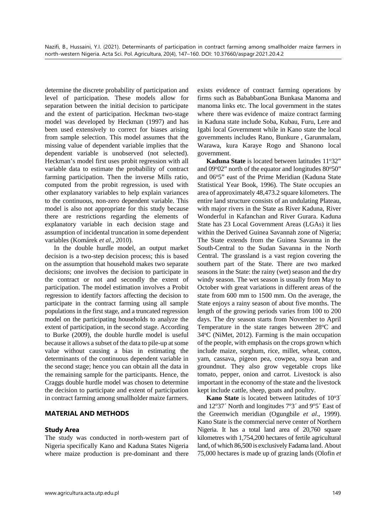determine the discrete probability of participation and level of participation. These models allow for separation between the initial decision to participate and the extent of participation. Heckman two-stage model was developed by Heckman (1997) and has been used extensively to correct for biases arising from sample selection. This model assumes that the missing value of dependent variable implies that the dependent variable is unobserved (not selected). Heckman's model first uses probit regression with all variable data to estimate the probability of contract farming participation. Then the inverse Mills ratio, computed from the probit regression, is used with other explanatory variables to help explain variances to the continuous, non-zero dependent variable. This model is also not appropriate for this study because there are restrictions regarding the elements of explanatory variable in each decision stage and assumption of incidental truncation in some dependent variables (Komárek *et al*., 2010).

In the double hurdle model, an output market decision is a two-step decision process; this is based on the assumption that household makes two separate decisions; one involves the decision to participate in the contract or not and secondly the extent of participation. The model estimation involves a Probit regression to identify factors affecting the decision to participate in the contract farming using all sample populations in the first stage, and a truncated regression model on the participating households to analyze the extent of participation, in the second stage. According to Burke (2009), the double hurdle model is useful because it allows a subset of the data to pile-up at some value without causing a bias in estimating the determinants of the continuous dependent variable in the second stage; hence you can obtain all the data in the remaining sample for the participants. Hence, the Craggs double hurdle model was chosen to determine the decision to participate and extent of participation in contract farming among smallholder maize farmers.

## **MATERIAL AND METHODS**

#### **Study Area**

The study was conducted in north-western part of Nigeria specifically Kano and Kaduna States Nigeria where maize production is pre-dominant and there

exists evidence of contract farming operations by firms such as BababbanGona Bunkasa Manoma and manoma links etc. The local government in the states where there was evidence of maize contract farming in Kaduna state include Soba, Kubau, Furu, Lere and Igabi local Government while in Kano state the local governments includes Rano, Bunkure , Garunmalam, Warawa, kura Karaye Rogo and Shanono local government.

Kaduna State is located between latitudes 11°32" and 09°02" north of the equator and longitudes 80°50" and 06°5" east of the Prime Meridian (Kaduna State Statistical Year Book, 1996). The State occupies an area of approximately 48,473.2 square kilometers. The entire land structure consists of an undulating Plateau, with major rivers in the State as River Kaduna, River Wonderful in Kafanchan and River Gurara. Kaduna State has 23 Local Government Areas (LGAs) it lies within the Derived Guinea Savannah zone of Nigeria; The State extends from the Guinea Savanna in the South-Central to the Sudan Savanna in the North Central. The grassland is a vast region covering the southern part of the State. There are two marked seasons in the State: the rainy (wet) season and the dry windy season. The wet season is usually from May to October with great variations in different areas of the state from 600 mm to 1500 mm. On the average, the State enjoys a rainy season of about five months. The length of the growing periods varies from 100 to 200 days. The dry season starts from November to April Temperature in the state ranges between 28°C and  $34^{\circ}$ C (NiMet, 2012). Farming is the main occupation of the people, with emphasis on the crops grown which include maize, sorghum, rice, millet, wheat, cotton, yam, cassava, pigeon pea, cowpea, soya bean and groundnut. They also grow vegetable crops like tomato, pepper, onion and carrot. Livestock is also important in the economy of the state and the livestock kept include cattle, sheep, goats and poultry.

Kano State is located between latitudes of 10°3' and 12°37' North and longitudes 7°3' and 9°5' East of the Greenwich meridian (Ogungbile *et al*., 1999). Kano State is the commercial nerve center of Northern Nigeria. It has a total land area of 20,760 square kilometres with 1,754,200 hectares of fertile agricultural land, of which 86,500 is exclusively Fadama land. About 75,000 hectares is made up of grazing lands (Olofin *et*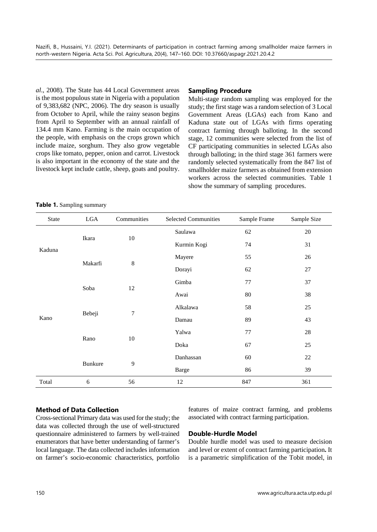*al*., 2008). The State has 44 Local Government areas is the most populous state in Nigeria with a population of 9,383,682 (NPC, 2006). The dry season is usually from October to April, while the rainy season begins from April to September with an annual rainfall of 134.4 mm Kano. Farming is the main occupation of the people, with emphasis on the crops grown which include maize, sorghum. They also grow vegetable crops like tomato, pepper, onion and carrot. Livestock is also important in the economy of the state and the livestock kept include cattle, sheep, goats and poultry.

#### **Sampling Procedure**

Multi-stage random sampling was employed for the study; the first stage was a random selection of 3 Local Government Areas (LGAs) each from Kano and Kaduna state out of LGAs with firms operating contract farming through balloting. In the second stage, 12 communities were selected from the list of CF participating communities in selected LGAs also through balloting; in the third stage 361 farmers were randomly selected systematically from the 847 list of smallholder maize farmers as obtained from extension workers across the selected communities. Table 1 show the summary of sampling procedures.

**Table 1.** Sampling summary

| <b>State</b> | LGA            | Communities    | <b>Selected Communities</b> | Sample Frame | Sample Size |
|--------------|----------------|----------------|-----------------------------|--------------|-------------|
|              |                |                | Saulawa                     | 62           | 20          |
| Kaduna       | Ikara          | $10\,$         | Kurmin Kogi                 | 74           | 31          |
|              | Makarfi        |                | Mayere                      | 55           | 26          |
|              |                | $\,8\,$        | Dorayi                      | 62           | 27          |
|              |                |                | Gimba                       | 77           | 37          |
|              | Soba           | 12             | Awai                        | 80           | 38          |
|              | Bebeji         | $\overline{7}$ | Alkalawa                    | 58           | 25          |
| Kano         |                |                | Damau                       | 89           | 43          |
|              |                |                | Yalwa                       | 77           | 28          |
|              | Rano           | 10             | Doka                        | 67           | 25          |
|              |                |                | Danhassan                   | 60           | 22          |
|              | <b>Bunkure</b> | 9              | <b>Barge</b>                | 86           | 39          |
| Total        | 6              | 56             | 12                          | 847          | 361         |

### **Method of Data Collection**

Cross-sectional Primary data was used for the study; the data was collected through the use of well-structured questionnaire administered to farmers by well-trained enumerators that have better understanding of farmer's local language. The data collected includes information on farmer's socio-economic characteristics, portfolio features of maize contract farming, and problems associated with contract farming participation.

#### **Double-Hurdle Model**

Double hurdle model was used to measure decision and level or extent of contract farming participation**.** It is a parametric simplification of the Tobit model, in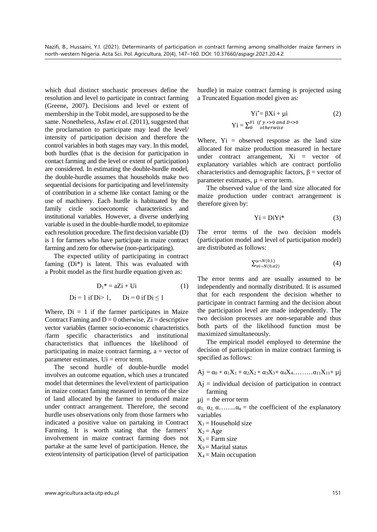which dual distinct stochastic processes define the resolution and level to participate in contract farming (Greene, 2007). Decisions and level or extent of membership in the Tobit model, are supposed to be the same. Nonetheless, Asfaw *et al*. (2011), suggested that the proclamation to participate may lead the level/ intensity of participation decision and therefore the control variables in both stages may vary. In this model, both hurdles (that is the decision for participation in contact farming and the level or extent of participation) are considered. In estimating the double-hurdle model, the double-hurdle assumes that households make two sequential decisions for participating and level/intensity of contribution in a scheme like contact faming or the use of machinery. Each hurdle is habituated by the family circle socioeconomic characteristics and institutional variables. However, a diverse underlying variable is used in the double-hurdle model, to epitomize each resolution procedure. The first decision variable (D) is 1 for farmers who have participate in maize contract farming and zero for otherwise (non-participating).

The expected utility of participating in contract faming (Di\*) is latent. This was evaluated with a Probit model as the first hurdle equation given as:

$$
D_1^* = aZi + Ui \tag{1}
$$

$$
Di = 1 \text{ if } Di > 1, \qquad Di = 0 \text{ if } Di \le 1
$$

Where,  $Di = 1$  if the farmer participates in Maize Contract Faming and  $D = 0$  otherwise,  $Z_i$  = descriptive vector variables (farmer socio-economic characteristics /farm specific characteristics and institutional characteristics that influences the likelihood of participating in maize contract farming,  $a =$  vector of parameter estimates,  $Ui = error$  term.

The second hurdle of double-hurdle model involves an outcome equation, which uses a truncated model that determines the level/extent of participation in maize contact faming measured in terms of the size of land allocated by the farmer to produced maize under contract arrangement. Therefore, the second hurdle uses observations only from those farmers who indicated a positive value on partaking in Contract Farming. It is worth stating that the farmers' involvement in maize contract farming does not partake at the same level of participation. Hence, the extent/intensity of participation (level of participation

hurdle) in maize contract farming is projected using a Truncated Equation model given as:

$$
Yi^* = \beta Xi + \mu i
$$
 (2)  
 
$$
Yi = \sum_{0}^{Yi} \underset{otherwise}{if \ y.*} > 0 \text{ and } D* > 0
$$

Where,  $Y_i$  = observed response as the land size allocated for maize production measured in hectare under contract arrangement, Xi = vector of explanatory variables which are contract portfolio characteristics and demographic factors,  $\beta$  = vector of parameter estimates,  $\mu$  = error term.

The observed value of the land size allocated for maize production under contract arrangement is therefore given by:

$$
Yi = DiYi^*
$$
 (3)

The error terms of the two decision models (participation model and level of participation model) are distributed as follows:

$$
\sum_{\nu i \to N(0,\alpha 2)}^{\mu \to N(0,1)} \tag{4}
$$

The error terms and are usually assumed to be independently and normally distributed. It is assumed that for each respondent the decision whether to participate in contract farming and the decision about the participation level are made independently. The two decision processes are non-separable and thus both parts of the likelihood function must be maximized simultaneously.

The empirical model employed to determine the decision of participation in maize contract farming is specified as follows:

$$
Aj=\alpha_0+\alpha_1X_1+\alpha_2X_2+\alpha_3X_3+\alpha_4X_4,\ldots\ldots\ldots\alpha_{11}X_{11}+\mu j
$$

- $Aj = individual decision of participation in contract$ farming
- $\mu i$  = the error term
- $\alpha_1, \alpha_2, \alpha, \ldots, \alpha_n$  = the coefficient of the explanatory variables
- $X_1$  = Household size

$$
X_2 = Age
$$

- $X_3$  = Farm size
- $X_9$  = Marital status
- $X_4$  = Main occupation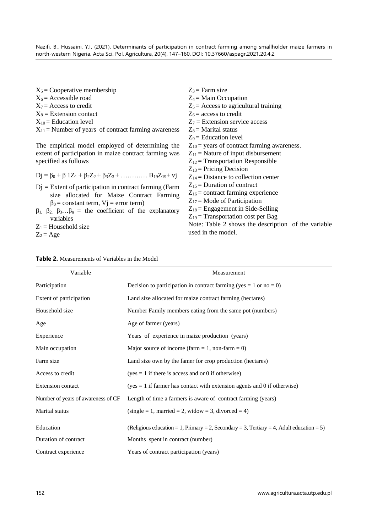| $X_5$ = Cooperative membership                                                           | $Z_3$ = Farm size                                   |
|------------------------------------------------------------------------------------------|-----------------------------------------------------|
| $X_6$ = Accessible road                                                                  | $Z_4$ = Main Occupation                             |
| $X_7$ = Access to credit                                                                 | $Z_5$ = Access to agricultural training             |
| $X_8$ = Extension contact                                                                | $Z_6$ = access to credit                            |
| $X_{10}$ = Education level                                                               | $Z_7$ = Extension service access                    |
| $X_{11}$ = Number of years of contract farming awareness                                 | $Z_8$ = Marital status                              |
|                                                                                          | $Z_9$ = Education level                             |
| The empirical model employed of determining the                                          | $Z_{10}$ = years of contract farming awareness.     |
| extent of participation in maize contract farming was                                    | $Z_{11}$ = Nature of input disbursement             |
| specified as follows                                                                     | $Z_{12}$ = Transportation Responsible               |
|                                                                                          | $Z_{13}$ = Pricing Decision                         |
| $Dj = \beta_0 + \beta 1Z_1 + \beta_2Z_2 + \beta_3Z_3 + \dots + \beta_{19}Z_{19} + \nu j$ | $Z_{14}$ = Distance to collection center            |
| $Dj$ = Extent of participation in contract farming (Farm                                 | $Z_{15}$ = Duration of contract                     |
| size allocated for Maize Contract Farming                                                | $Z_{16}$ = contract farming experience              |
| $\beta_0$ = constant term, V <sub>j</sub> = error term)                                  | $Z_{17}$ = Mode of Participation                    |
| $\beta_1$ , $\beta_2$ , $\beta_3$ $\beta_n$ = the coefficient of the explanatory         | $Z_{18}$ = Engagement in Side-Selling               |
| variables                                                                                | $Z_{19}$ = Transportation cost per Bag              |
| $Z_1$ = Household size                                                                   | Note: Table 2 shows the description of the variable |
| $Z_2 = Age$                                                                              | used in the model.                                  |
|                                                                                          |                                                     |

| Variable                           | Measurement                                                                              |
|------------------------------------|------------------------------------------------------------------------------------------|
| Participation                      | Decision to participation in contract farming (yes = 1 or no = 0)                        |
| Extent of participation            | Land size allocated for maize contract farming (hectares)                                |
| Household size                     | Number Family members eating from the same pot (numbers)                                 |
| Age                                | Age of farmer (years)                                                                    |
| Experience                         | Years of experience in maize production (years)                                          |
| Main occupation                    | Major source of income (farm = 1, non-farm = 0)                                          |
| Farm size                          | Land size own by the famer for crop production (hectares)                                |
| Access to credit                   | $(yes = 1$ if there is access and or 0 if otherwise)                                     |
| <b>Extension contact</b>           | $(yes = 1$ if farmer has contact with extension agents and 0 if otherwise)               |
| Number of years of awareness of CF | Length of time a farmers is aware of contract farming (years)                            |
| Marital status                     | $(single = 1, married = 2, widow = 3, divorced = 4)$                                     |
| Education                          | (Religious education = 1, Primary = 2, Secondary = 3, Tertiary = 4, Adult education = 5) |
| Duration of contract               | Months spent in contract (number)                                                        |
| Contract experience                | Years of contract participation (years)                                                  |

| <b>Table 2.</b> Measurements of Variables in the Model |  |  |  |
|--------------------------------------------------------|--|--|--|
|--------------------------------------------------------|--|--|--|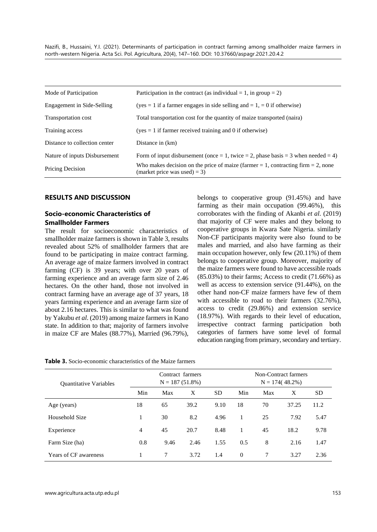| Mode of Participation         | Participation in the contract (as individual $= 1$ , in group $= 2$ )                                                  |
|-------------------------------|------------------------------------------------------------------------------------------------------------------------|
| Engagement in Side-Selling    | (yes = 1 if a farmer engages in side selling and = 1, = 0 if otherwise)                                                |
| Transportation cost           | Total transportation cost for the quantity of maize transported (naira)                                                |
| Training access               | $(yes = 1$ if farmer received training and 0 if otherwise)                                                             |
| Distance to collection center | Distance in (km)                                                                                                       |
| Nature of inputs Disbursement | Form of input disbursement (once = 1, twice = 2, phase basis = 3 when needed = 4)                                      |
| Pricing Decision              | Who makes decision on the price of maize (farmer $= 1$ , contracting firm $= 2$ , none<br>(market price was used) = 3) |

#### **RESULTS AND DISCUSSION**

## **Socio-economic Characteristics of Smallholder Farmers**

The result for socioeconomic characteristics of smallholder maize farmers is shown in Table 3, results revealed about 52% of smallholder farmers that are found to be participating in maize contract farming. An average age of maize farmers involved in contract farming (CF) is 39 years; with over 20 years of farming experience and an average farm size of 2.46 hectares. On the other hand, those not involved in contract farming have an average age of 37 years, 18 years farming experience and an average farm size of about 2.16 hectares. This is similar to what was found by Yakubu *et al*. (2019) among maize farmers in Kano state. In addition to that; majority of farmers involve in maize CF are Males (88.77%), Married (96.79%),

belongs to cooperative group (91.45%) and have farming as their main occupation (99.46%), this corroborates with the finding of Akanbi *et al*. (2019) that majority of CF were males and they belong to cooperative groups in Kwara Sate Nigeria. similarly Non-CF participants majority were also found to be males and married, and also have farming as their main occupation however, only few (20.11%) of them belongs to cooperative group. Moreover, majority of the maize farmers were found to have accessible roads  $(85.03\%)$  to their farms: Access to credit  $(71.66\%)$  as well as access to extension service (91.44%), on the other hand non-CF maize farmers have few of them with accessible to road to their farmers (32.76%), access to credit (29.86%) and extension service (18.97%). With regards to their level of education, irrespective contract farming participation both categories of farmers have some level of formal education ranging from primary, secondary and tertiary.

| <b>Quantitative Variables</b> | Contract farmers<br>$N = 187(51.8\%)$ |      |      | Non-Contract farmers<br>$N = 174(48.2\%)$ |          |     |       |      |
|-------------------------------|---------------------------------------|------|------|-------------------------------------------|----------|-----|-------|------|
|                               | Min                                   | Max  | X    | <b>SD</b>                                 | Min      | Max | X     | SD.  |
| Age (years)                   | 18                                    | 65   | 39.2 | 9.10                                      | 18       | 70  | 37.25 | 11.2 |
| Household Size                |                                       | 30   | 8.2  | 4.96                                      | 1        | 25  | 7.92  | 5.47 |
| Experience                    | 4                                     | 45   | 20.7 | 8.48                                      | 1        | 45  | 18.2  | 9.78 |
| Farm Size (ha)                | 0.8                                   | 9.46 | 2.46 | 1.55                                      | 0.5      | 8   | 2.16  | 1.47 |
| <b>Years of CF awareness</b>  |                                       | 7    | 3.72 | 1.4                                       | $\Omega$ | 7   | 3.27  | 2.36 |

**Table 3.** Socio-economic characteristics of the Maize farmers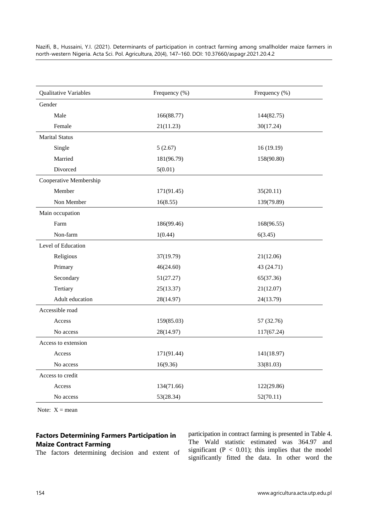| Qualitative Variables  | Frequency (%) | Frequency (%) |
|------------------------|---------------|---------------|
| Gender                 |               |               |
| Male                   | 166(88.77)    | 144(82.75)    |
| Female                 | 21(11.23)     | 30(17.24)     |
| <b>Marital Status</b>  |               |               |
| Single                 | 5(2.67)       | 16(19.19)     |
| Married                | 181(96.79)    | 158(90.80)    |
| Divorced               | 5(0.01)       |               |
| Cooperative Membership |               |               |
| Member                 | 171(91.45)    | 35(20.11)     |
| Non Member             | 16(8.55)      | 139(79.89)    |
| Main occupation        |               |               |
| Farm                   | 186(99.46)    | 168(96.55)    |
| Non-farm               | 1(0.44)       | 6(3.45)       |
| Level of Education     |               |               |
| Religious              | 37(19.79)     | 21(12.06)     |
| Primary                | 46(24.60)     | 43 (24.71)    |
| Secondary              | 51(27.27)     | 65(37.36)     |
| Tertiary               | 25(13.37)     | 21(12.07)     |
| Adult education        | 28(14.97)     | 24(13.79)     |
| Accessible road        |               |               |
| Access                 | 159(85.03)    | 57 (32.76)    |
| No access              | 28(14.97)     | 117(67.24)    |
| Access to extension    |               |               |
| Access                 | 171(91.44)    | 141(18.97)    |
| No access              | 16(9.36)      | 33(81.03)     |
| Access to credit       |               |               |
| Access                 | 134(71.66)    | 122(29.86)    |
| No access              | 53(28.34)     | 52(70.11)     |

Note:  $X = \text{mean}$ 

## **Factors Determining Farmers Participation in Maize Contract Farming**

The factors determining decision and extent of

participation in contract farming is presented in Table 4. The Wald statistic estimated was 364.97 and significant ( $P < 0.01$ ); this implies that the model significantly fitted the data. In other word the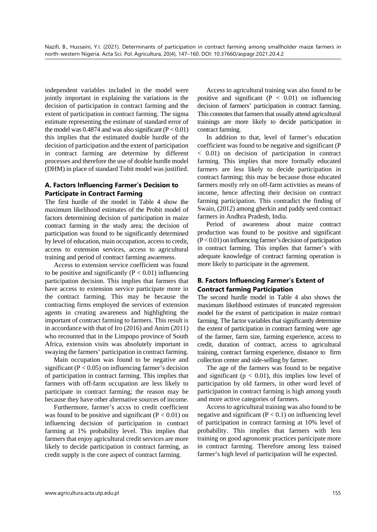independent variables included in the model were jointly important in explaining the variations in the decision of participation in contract farming and the extent of participation in contract farming. The sigma estimate representing the estimate of standard error of the model was 0.4874 and was also significant  $(P < 0.01)$ this implies that the estimated double hurdle of the decision of participation and the extent of participation in contract farming are determine by different processes and therefore the use of double hurdle model (DHM) in place of standard Tobit model was justified.

## **A. Factors Influencing Farmer's Decision to Participate in Contract Farming**

The first hurdle of the model in Table 4 show the maximum likelihood estimates of the Probit model of factors determining decision of participation in maize contract farming in the study area; the decision of participation was found to be significantly determined by level of education, main occupation, access to credit, access to extension services, access to agricultural training and period of contract farming awareness.

Access to extension service coefficient was found to be positive and significantly  $(P < 0.01)$  influencing participation decision. This implies that farmers that have access to extension service participate more in the contract farming. This may be because the contracting firms employed the services of extension agents in creating awareness and highlighting the important of contract farming to farmers. This result is in accordance with that of Iro (2016) and Anim (2011) who recounted that in the Limpopo province of South Africa, extension visits was absolutely important in swaying the farmers' participation in contract farming.

Main occupation was found to be negative and significant ( $P < 0.05$ ) on influencing farmer's decision of participation in contract farming. This implies that farmers with off-farm occupation are less likely to participate in contract farming; the reason may be because they have other alternative sources of income.

Furthermore, farmer's accss to credit coefficient was found to be positive and significant  $(P < 0.01)$  on influencing decision of participation in contract farming at 1% probability level. This implies that farmers that enjoy agricultural credit services are more likely to decide participation in contract farming, as credit supply is the core aspect of contract farming.

Access to agricultural training was also found to be positive and significant  $(P < 0.01)$  on influencing decision of farmers' participation in contract farming. This connotes that farmers that usually attend agricultural trainings are more likely to decide participation in contract farming.

In addition to that, level of farmer's education coefficient was found to be negative and significant (P < 0.01) on decision of participation in contract farming. This implies that more formally educated farmers are less likely to decide participation in contract farming; this may be because those educated farmers mostly rely on off-farm activities as means of income, hence affecting their decision on contract farming participation. This contradict the finding of Swain, (2012) among gherkin and paddy seed contract farmers in Andhra Pradesh, India.

Period of awareness about maize contract production was found to be positive and significant (P < 0.01) on influencing farmer's decision of participation in contract farming. This implies that farmer's with adequate knowledge of contract farming operation is more likely to participate in the agreement.

## **B. Factors Influencing Farmer's Extent of Contract farming Participation**

The second hurdle model in Table 4 also shows the maximum likelihood estimates of truncated regression model for the extent of participation in maize contract farming. The factor variables that significantly determine the extent of participation in contract farming were age of the farmer, farm size, farming experience, access to credit, duration of contract, access to agricultural training, contract farming experience, distance to firm collection center and side-selling by farmer.

The age of the farmers was found to be negative and significant ( $p < 0.01$ ), this implies low level of participation by old farmers, in other word level of participation in contract farming is high among youth and more active categories of farmers.

Access to agricultural training was also found to be negative and significant  $(P < 0.1)$  on influencing level of participation in contract farming at 10% level of probability. This implies that farmers with less training on good agronomic practices participate more in contract farming. Therefore among less trained farmer's high level of participation will be expected.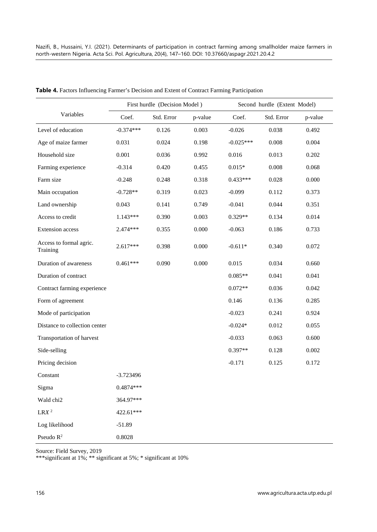|                                     | First hurdle (Decision Model) |            | Second hurdle (Extent Model) |             |            |         |
|-------------------------------------|-------------------------------|------------|------------------------------|-------------|------------|---------|
| Variables                           | Coef.                         | Std. Error | p-value                      | Coef.       | Std. Error | p-value |
| Level of education                  | $-0.374***$                   | 0.126      | 0.003                        | $-0.026$    | 0.038      | 0.492   |
| Age of maize farmer                 | 0.031                         | 0.024      | 0.198                        | $-0.025***$ | 0.008      | 0.004   |
| Household size                      | 0.001                         | 0.036      | 0.992                        | 0.016       | 0.013      | 0.202   |
| Farming experience                  | $-0.314$                      | 0.420      | 0.455                        | $0.015*$    | 0.008      | 0.068   |
| Farm size                           | $-0.248$                      | 0.248      | 0.318                        | $0.433***$  | 0.028      | 0.000   |
| Main occupation                     | $-0.728**$                    | 0.319      | 0.023                        | $-0.099$    | 0.112      | 0.373   |
| Land ownership                      | 0.043                         | 0.141      | 0.749                        | $-0.041$    | 0.044      | 0.351   |
| Access to credit                    | $1.143***$                    | 0.390      | 0.003                        | $0.329**$   | 0.134      | 0.014   |
| Extension access                    | $2.474***$                    | 0.355      | 0.000                        | $-0.063$    | 0.186      | 0.733   |
| Access to formal agric.<br>Training | $2.617***$                    | 0.398      | 0.000                        | $-0.611*$   | 0.340      | 0.072   |
| Duration of awareness               | $0.461***$                    | 0.090      | 0.000                        | 0.015       | 0.034      | 0.660   |
| Duration of contract                |                               |            |                              | $0.085**$   | 0.041      | 0.041   |
| Contract farming experience         |                               |            |                              | $0.072**$   | 0.036      | 0.042   |
| Form of agreement                   |                               |            |                              | 0.146       | 0.136      | 0.285   |
| Mode of participation               |                               |            |                              | $-0.023$    | 0.241      | 0.924   |
| Distance to collection center       |                               |            |                              | $-0.024*$   | 0.012      | 0.055   |
| Transportation of harvest           |                               |            |                              | $-0.033$    | 0.063      | 0.600   |
| Side-selling                        |                               |            |                              | $0.397**$   | 0.128      | 0.002   |
| Pricing decision                    |                               |            |                              | $-0.171$    | 0.125      | 0.172   |
| Constant                            | $-3.723496$                   |            |                              |             |            |         |
| Sigma                               | $0.4874***$                   |            |                              |             |            |         |
| Wald chi2                           | 364.97***                     |            |                              |             |            |         |
| $\mbox{L}\mathbf{R} X$ $^2$         | 422.61***                     |            |                              |             |            |         |
| Log likelihood                      | $-51.89$                      |            |                              |             |            |         |
| Pseudo $\mathbb{R}^2$               | 0.8028                        |            |                              |             |            |         |

|  |  |  |  | Table 4. Factors Influencing Farmer's Decision and Extent of Contract Farming Participation |
|--|--|--|--|---------------------------------------------------------------------------------------------|
|--|--|--|--|---------------------------------------------------------------------------------------------|

Source: Field Survey, 2019

\*\*\*significant at 1%; \*\* significant at 5%; \* significant at 10%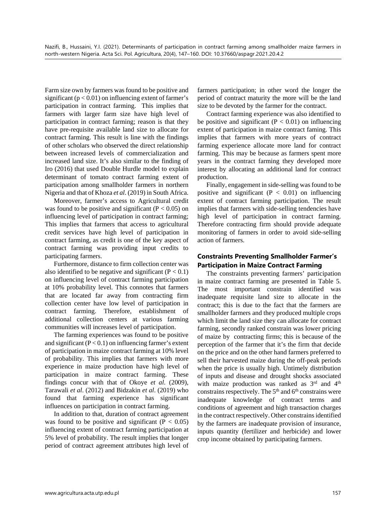Farm size own by farmers was found to be positive and significant ( $p < 0.01$ ) on influencing extent of farmer's participation in contract farming. This implies that farmers with larger farm size have high level of participation in contract farming; reason is that they have pre-requisite available land size to allocate for contract farming. This result is line with the findings of other scholars who observed the direct relationship between increased levels of commercialization and increased land size. It's also similar to the finding of Iro (2016) that used Double Hurdle model to explain determinant of tomato contract farming extent of participation among smallholder farmers in northern Nigeria and that of Khoza *et al*. (2019) in South Africa.

Moreover, farmer's access to Agricultural credit was found to be positive and significant ( $P < 0.05$ ) on influencing level of participation in contract farming; This implies that farmers that access to agricultural credit services have high level of participation in contract farming, as credit is one of the key aspect of contract farming was providing input credits to participating farmers.

Furthermore, distance to firm collection center was also identified to be negative and significant  $(P < 0.1)$ on influencing level of contract farming participation at 10% probability level. This connotes that farmers that are located far away from contracting firm collection center have low level of participation in contract farming. Therefore, establishment of additional collection centers at various farming communities will increases level of participation.

The farming experiences was found to be positive and significant  $(P < 0.1)$  on influencing farmer's extent of participation in maize contract farming at 10% level of probability. This implies that farmers with more experience in maize production have high level of participation in maize contract farming. These findings concur with that of Okoye *et al*. (2009), Tarawali *et al*. (2012) and Bidzakin *et al*. (2019) who found that farming experience has significant influences on participation in contract farming.

In addition to that, duration of contract agreement was found to be positive and significant ( $P < 0.05$ ) influencing extent of contract farming participation at 5% level of probability. The result implies that longer period of contract agreement attributes high level of farmers participation; in other word the longer the period of contract maturity the more will be the land size to be devoted by the farmer for the contract.

Contract farming experience was also identified to be positive and significant ( $P < 0.01$ ) on influencing extent of participation in maize contract faming. This implies that farmers with more years of contract farming experience allocate more land for contract farming. This may be because as farmers spent more years in the contract farming they developed more interest by allocating an additional land for contract production.

Finally, engagement in side-selling was found to be positive and significant  $(P < 0.01)$  on influencing extent of contract farming participation. The result implies that farmers with side-selling tendencies have high level of participation in contract farming. Therefore contracting firm should provide adequate monitoring of farmers in order to avoid side-selling action of farmers.

## **Constraints Preventing Smallholder Farmer's Participation in Maize Contract Farming**

The constraints preventing farmers' participation in maize contract farming are presented in Table 5. The most important constrain identified was inadequate requisite land size to allocate in the contract; this is due to the fact that the farmers are smallholder farmers and they produced multiple crops which limit the land size they can allocate for contract farming, secondly ranked constrain was lower pricing of maize by contracting firms; this is because of the perception of the farmer that it's the firm that decide on the price and on the other hand farmers preferred to sell their harvested maize during the off-peak periods when the price is usually high. Untimely distribution of inputs and disease and drought shocks associated with maize production was ranked as 3<sup>rd</sup> and 4<sup>th</sup> constrains respectively. The  $5<sup>th</sup>$  and  $6<sup>th</sup>$  constrains were inadequate knowledge of contract terms and conditions of agreement and high transaction charges in the contract respectively. Other constrains identified by the farmers are inadequate provision of insurance, inputs quantity (fertilizer and herbicide) and lower crop income obtained by participating farmers.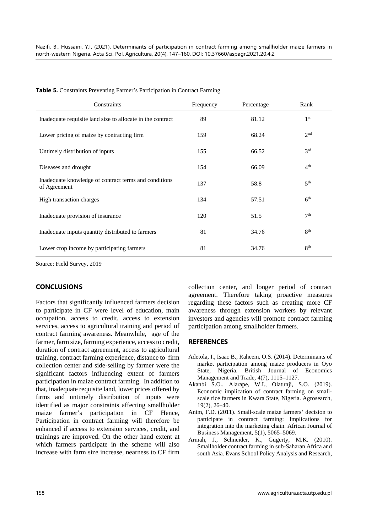| Constraints                                                           | Frequency | Percentage | Rank            |
|-----------------------------------------------------------------------|-----------|------------|-----------------|
| Inadequate requisite land size to allocate in the contract            | 89        | 81.12      | 1 <sup>st</sup> |
| Lower pricing of maize by contracting firm                            | 159       | 68.24      | 2 <sub>nd</sub> |
| Untimely distribution of inputs                                       | 155       | 66.52      | 3 <sup>rd</sup> |
| Diseases and drought                                                  | 154       | 66.09      | 4 <sup>th</sup> |
| Inadequate knowledge of contract terms and conditions<br>of Agreement | 137       | 58.8       | 5 <sup>th</sup> |
| High transaction charges                                              | 134       | 57.51      | 6 <sup>th</sup> |
| Inadequate provision of insurance                                     | 120       | 51.5       | 7 <sup>th</sup> |
| Inadequate inputs quantity distributed to farmers                     | 81        | 34.76      | $R^{th}$        |
| Lower crop income by participating farmers                            | 81        | 34.76      | 8 <sup>th</sup> |

**Table 5.** Constraints Preventing Farmer's Participation in Contract Farming

Source: Field Survey, 2019

## **CONCLUSIONS**

Factors that significantly influenced farmers decision to participate in CF were level of education, main occupation, access to credit, access to extension services, access to agricultural training and period of contract farming awareness. Meanwhile, age of the farmer, farm size, farming experience, access to credit, duration of contract agreement, access to agricultural training, contract farming experience, distance to firm collection center and side-selling by farmer were the significant factors influencing extent of farmers participation in maize contract farming. In addition to that, inadequate requisite land, lower prices offered by firms and untimely distribution of inputs were identified as major constraints affecting smallholder maize farmer's participation in CF Hence, Participation in contract farming will therefore be enhanced if access to extension services, credit, and trainings are improved. On the other hand extent at which farmers participate in the scheme will also increase with farm size increase, nearness to CF firm collection center, and longer period of contract agreement. Therefore taking proactive measures regarding these factors such as creating more CF awareness through extension workers by relevant investors and agencies will promote contract farming participation among smallholder farmers.

#### **REFERENCES**

- Adetola, I., Isaac B., Raheem, O.S. (2014). Determinants of market participation among maize producers in Oyo State, Nigeria. British Journal of Economics Management and Trade, 4(7), 1115–1127.
- Akanbi S.O., Alarape, W.I., Olatunji, S.O. (2019). Economic implication of contract farming on smallscale rice farmers in Kwara State, Nigeria. Agrosearch, 19(2), 26–40.
- Anim, F.D. (2011). Small-scale maize farmers' decision to participate in contract farming: Implications for integration into the marketing chain. African Journal of Business Management, 5(1), 5065–5069.
- Armah, J., Schneider, K., Gugerty, M.K. (2010). Smallholder contract farming in sub-Saharan Africa and south Asia. Evans School Policy Analysis and Research,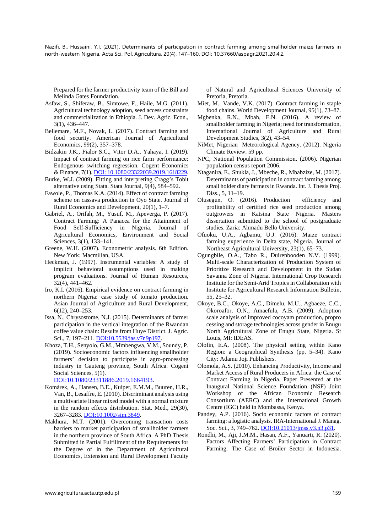Prepared for the farmer productivity team of the Bill and Melinda Gates Foundation.

- Asfaw, S., Shiferaw, B., Simtowe, F., Haile, M.G. (2011). Agricultural technology adoption, seed access constraints and commercialization in Ethiopia. J. Dev. Agric. Econ., 3(1), 436–447.
- Bellemare, M.F., Novak, L. (2017). Contract farming and food security. American Journal of Agricultural Economics, 99(2), 357–378.
- Bidzakin J.K., Fialor S.C., Vitor D.A., Yahaya, I. (2019). Impact of contract farming on rice farm performance: Endogenous switching regression*.* Cogent Economics & Finance, 7(1)[. DOI: 10.1080/23322039.2019.1618229.](https://www.tandfonline.com/doi/full/10.1080/23322039.2019.1618229)
- Burke, W.J. (2009). Fitting and interpreting Cragg's Tobit alternative using Stata. Stata Journal, 9(4), 584–592.
- Fawole, P., Thomas K.A. (2014). Effect of contract farming scheme on cassava production in Oyo State. Journal of Rural Economics and Development, 20(1), 1–7.
- Gabriel, A., Orifah, M., Yusuf, M., Apeverga, P. (2017). Contract Farming: A Panacea for the Attainment of Food Self-Sufficiency in Nigeria. Journal of Agricultural Economics, Environment and Social Sciences, 3(1), 133–141.
- Greene, W.H. (2007). Econometric analysis. 6th Edition. New York: Macmillan, USA.
- Heckman, J. (1997). Instrumental variables: A study of implicit behavioral assumptions used in making program evaluations. Journal of Human Resources, 32(4), 441–462.
- Iro, K.I. (2016). Empirical evidence on contract farming in northern Nigeria: case study of tomato production. Asian Journal of Agriculture and Rural Development, 6(12), 240–253.
- Issa, N., Chrysostome, N.J. (2015). Determinants of farmer participation in the vertical integration of the Rwandan coffee value chain: Results from Huye District. J. Agric. Sci., 7, 197–211. [DOI:10.5539/jas.v7n9p197.](http://dx.doi.org/10.5539/jas.v7n9p197)
- Khoza, T.H., Senyolo, G.M., Mmbengwa, V.M., Soundy, P. (2019). Socioeconomic factors influencing smallholder farmers' decision to participate in agro-processing industry in Gauteng province, South Africa. Cogent Social Sciences, 5(1).

[DOI:10.1080/23311886.2019.1664193.](https://doi.org/10.1080/23311886.2019.1664193)

- Komárek, A., Hansen, B.E., Kuiper, E.M.M., Buuren, H.R., Van, B., Lesaffre, E. (2010). Discriminant analysis using a multivariate linear mixed model with a normal mixture in the random effects distribution. Stat. Med., 29(30), 3267–3283[. DOI:10.1002/sim.3849.](https://doi.org/10.1002/sim.3849)
- Makhura, M.T. (2001). Overcoming transaction costs barriers to market participation of smallholder farmers in the northern province of South Africa. A PhD Thesis Submitted in Partial Fulfillment of the Requirements for the Degree of in the Department of Agricultural Economics, Extension and Rural Development Faculty

of Natural and Agricultural Sciences University of Pretoria, Pretoria.

- Miet, M., Vande, V.K. (2017). Contract farming in staple food chains. World Development Journal, 95(1), 73–87.
- Mgbenka, R.N., Mbah, E.N. (2016). A review of smallholder farming in Nigeria; need for transformation, International Journal of Agriculture and Rural Development Studies, 3(2), 43–54.
- NiMet, Nigerian Meteorological Agency. (2012). Nigeria Climate Review. 59 pp.
- NPC, National Population Commission. (2006). Nigerian population census report 2006.
- Ntaganira, E., Shukla, J., Mbeche, R., Mbabzize, M. (2017). Determinants of participation in contract farming among small holder diary farmers in Rwanda. Int. J. Thesis Proj. Diss., 5, 11–19.
- Olusegun, O. (2016). Production efficiency and profitability of certified rice seed production among outgrowers in Katsina State Nigeria. Masters dissertation submitted to the school of postgraduate studies. Zaria: Ahmadu Bello University.
- Ofuoku, U.A., Agbamu, U.J. (2016). Maize contract farming experience in Delta state, Nigeria. Journal of Northeast Agricultural University, 23(1), 65–73.
- Ogungbile, O.A., Tabo R., Duirenbooden N.V. (1999). Multi-scale Characterization of Production System of Prioritize Research and Development in the Sudan Savanna Zone of Nigeria. International Crop Research Institute for the Semi-Arid Tropics in Collaboration with Institute for Agricultural Research Information Bulletin, 55, 25–32.
- Okoye, B.C., Okoye, A.C., Dimelu, M.U., Agbaeze, C.C., Okoroafor, O.N., Amaefula, A.B. (2009). Adoption scale analysis of improved cocoyam production, propro cessing and storage technologies across gender in Enugu North Agricultural Zone of Enugu State, Nigeria. St Louis, MI: IDEAS.
- Olofin, E.A. (2008). The physical setting within Kano Region: a Geographical Synthesis (pp. 5–34). Kano City: Adamu Joji Publishers.
- Olomola, A.S. (2010). Enhancing Productivity, Income and Market Access of Rural Producers in Africa: the Case of Contract Farming in Nigeria. Paper Presented at the Inaugural National Science Foundation (NSF) Joint Workshop of the African Economic Research Consortium (AERC) and the International Growth Centre (IGC) held in Mombassa, Kenya.
- Pandey, A.P. (2016). Socio economic factors of contract farming: a logistic analysis. IRA-International J. Manag. Soc. Sci., 3, 749–762. [DOI:10.21013/jmss.v3.n3.p31.](https://doi.org/10.21013/jmss.v3.n3.p31)
- Rondhi, M., Aji, J.M.M., Hasan, A.F., Yanuarti, R. (2020). Factors Affecting Farmers' Participation in Contract Farming: The Case of Broiler Sector in Indonesia.